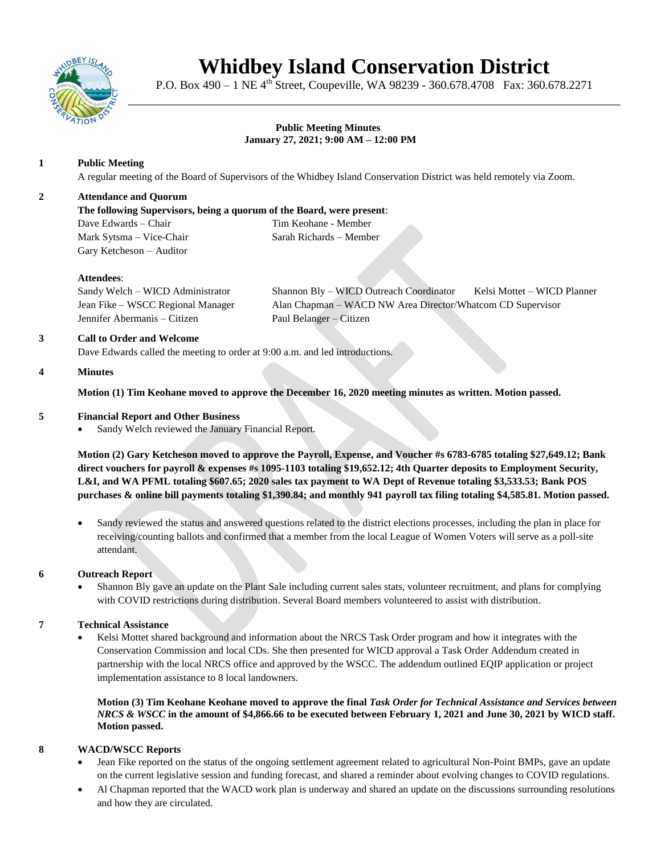

# **Whidbey Island Conservation District**

P.O. Box 490 – 1 NE 4<sup>th</sup> Street, Coupeville, WA 98239 - 360.678.4708 Fax: 360.678.2271 \_\_\_\_\_\_\_\_\_\_\_\_\_\_\_\_\_\_\_\_\_\_\_\_\_\_\_\_\_\_\_\_\_\_\_\_\_\_\_\_\_\_\_\_\_\_\_\_\_\_\_\_\_\_\_\_\_\_\_\_\_\_\_\_\_\_\_\_\_\_\_\_\_\_\_\_

## **Public Meeting Minutes January 27, 2021; 9:00 AM – 12:00 PM**

# **1 Public Meeting**

A regular meeting of the Board of Supervisors of the Whidbey Island Conservation District was held remotely via Zoom.

## **2 Attendance and Quorum**

## **The following Supervisors, being a quorum of the Board, were present**:

| Dave Edwards – Chair     | Tim Keohane - Member    |
|--------------------------|-------------------------|
| Mark Sytsma – Vice-Chair | Sarah Richards – Member |
| Gary Ketcheson – Auditor |                         |

#### **Attendees**:

Jennifer Abermanis – Citizen Paul Belanger – Citizen

Sandy Welch – WICD Administrator Shannon Bly – WICD Outreach Coordinator Kelsi Mottet – WICD Planner Jean Fike – WSCC Regional Manager Alan Chapman – WACD NW Area Director/Whatcom CD Supervisor

## **3 Call to Order and Welcome**

Dave Edwards called the meeting to order at 9:00 a.m. and led introductions.

#### **4 Minutes**

**Motion (1) Tim Keohane moved to approve the December 16, 2020 meeting minutes as written. Motion passed.** 

## **5 Financial Report and Other Business**

Sandy Welch reviewed the January Financial Report.

**Motion (2) Gary Ketcheson moved to approve the Payroll, Expense, and Voucher #s 6783-6785 totaling \$27,649.12; Bank direct vouchers for payroll & expenses #s 1095-1103 totaling \$19,652.12; 4th Quarter deposits to Employment Security, L&I, and WA PFML totaling \$607.65; 2020 sales tax payment to WA Dept of Revenue totaling \$3,533.53; Bank POS purchases & online bill payments totaling \$1,390.84; and monthly 941 payroll tax filing totaling \$4,585.81. Motion passed.** 

 Sandy reviewed the status and answered questions related to the district elections processes, including the plan in place for receiving/counting ballots and confirmed that a member from the local League of Women Voters will serve as a poll-site attendant.

## **6 Outreach Report**

 Shannon Bly gave an update on the Plant Sale including current sales stats, volunteer recruitment, and plans for complying with COVID restrictions during distribution. Several Board members volunteered to assist with distribution.

## **7 Technical Assistance**

 Kelsi Mottet shared background and information about the NRCS Task Order program and how it integrates with the Conservation Commission and local CDs. She then presented for WICD approval a Task Order Addendum created in partnership with the local NRCS office and approved by the WSCC. The addendum outlined EQIP application or project implementation assistance to 8 local landowners.

**Motion (3) Tim Keohane Keohane moved to approve the final** *Task Order for Technical Assistance and Services between NRCS & WSCC* **in the amount of \$4,866.66 to be executed between February 1, 2021 and June 30, 2021 by WICD staff. Motion passed.**

## **8 WACD/WSCC Reports**

- Jean Fike reported on the status of the ongoing settlement agreement related to agricultural Non-Point BMPs, gave an update on the current legislative session and funding forecast, and shared a reminder about evolving changes to COVID regulations.
- Al Chapman reported that the WACD work plan is underway and shared an update on the discussions surrounding resolutions and how they are circulated.